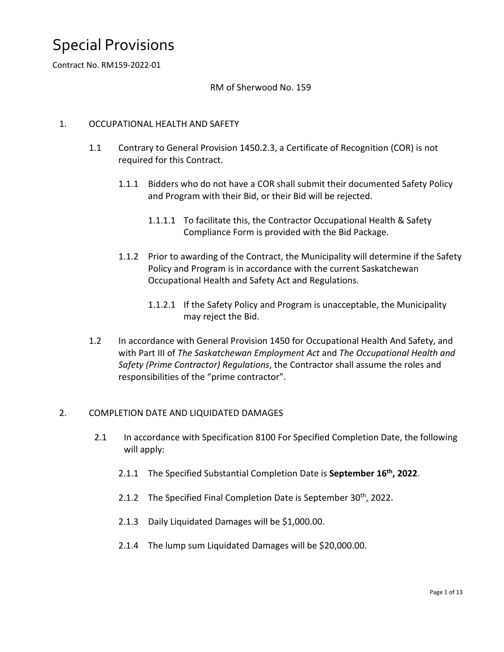Contract No. RM159-2022-01

### RM of Sherwood No. 159

### 1. OCCUPATIONAL HEALTH AND SAFETY

- 1.1 Contrary to General Provision 1450.2.3, a Certificate of Recognition (COR) is not required for this Contract.
	- 1.1.1 Bidders who do not have a COR shall submit their documented Safety Policy and Program with their Bid, or their Bid will be rejected.
		- 1.1.1.1 To facilitate this, the Contractor Occupational Health & Safety Compliance Form is provided with the Bid Package.
	- 1.1.2 Prior to awarding of the Contract, the Municipality will determine if the Safety Policy and Program is in accordance with the current Saskatchewan Occupational Health and Safety Act and Regulations.
		- 1.1.2.1 If the Safety Policy and Program is unacceptable, the Municipality may reject the Bid.
- 1.2 In accordance with General Provision 1450 for Occupational Health And Safety, and with Part III of *The Saskatchewan Employment Act* and *The Occupational Health and Safety (Prime Contractor) Regulations*, the Contractor shall assume the roles and responsibilities of the "prime contractor".

#### 2. COMPLETION DATE AND LIQUIDATED DAMAGES

- 2.1 In accordance with Specification 8100 For Specified Completion Date, the following will apply:
	- 2.1.1 The Specified Substantial Completion Date is **September 16th, 2022**.
	- 2.1.2 The Specified Final Completion Date is September 30<sup>th</sup>, 2022.
	- 2.1.3 Daily Liquidated Damages will be \$1,000.00.
	- 2.1.4 The lump sum Liquidated Damages will be \$20,000.00.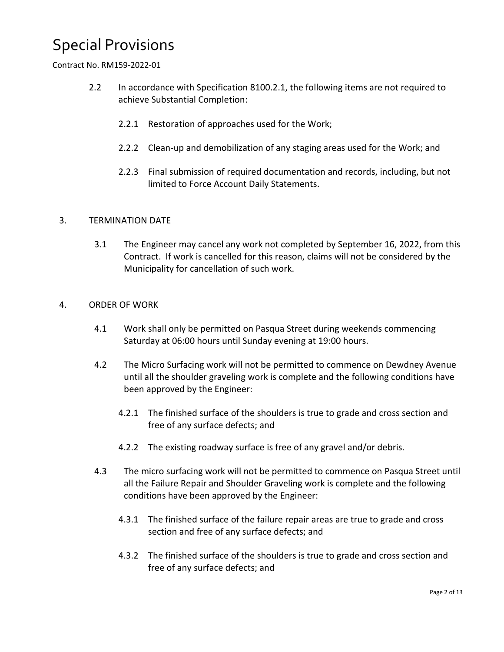Contract No. RM159-2022-01

- 2.2 In accordance with Specification 8100.2.1, the following items are not required to achieve Substantial Completion:
	- 2.2.1 Restoration of approaches used for the Work;
	- 2.2.2 Clean-up and demobilization of any staging areas used for the Work; and
	- 2.2.3 Final submission of required documentation and records, including, but not limited to Force Account Daily Statements.

### 3. TERMINATION DATE

3.1 The Engineer may cancel any work not completed by September 16, 2022, from this Contract. If work is cancelled for this reason, claims will not be considered by the Municipality for cancellation of such work.

### 4. ORDER OF WORK

- 4.1 Work shall only be permitted on Pasqua Street during weekends commencing Saturday at 06:00 hours until Sunday evening at 19:00 hours.
- 4.2 The Micro Surfacing work will not be permitted to commence on Dewdney Avenue until all the shoulder graveling work is complete and the following conditions have been approved by the Engineer:
	- 4.2.1 The finished surface of the shoulders is true to grade and cross section and free of any surface defects; and
	- 4.2.2 The existing roadway surface is free of any gravel and/or debris.
- 4.3 The micro surfacing work will not be permitted to commence on Pasqua Street until all the Failure Repair and Shoulder Graveling work is complete and the following conditions have been approved by the Engineer:
	- 4.3.1 The finished surface of the failure repair areas are true to grade and cross section and free of any surface defects; and
	- 4.3.2 The finished surface of the shoulders is true to grade and cross section and free of any surface defects; and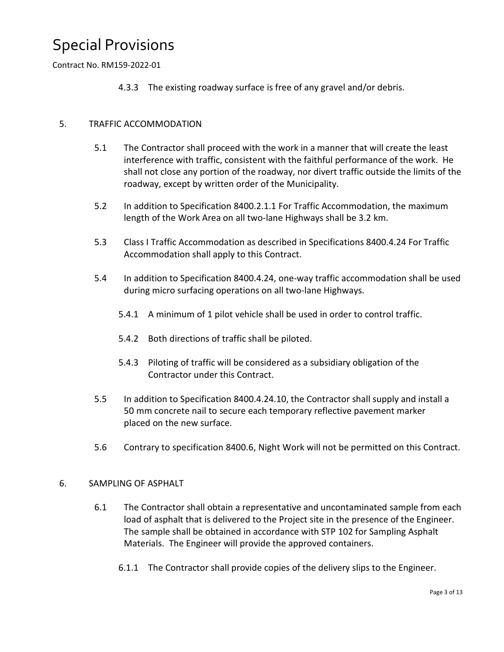Contract No. RM159-2022-01

4.3.3 The existing roadway surface is free of any gravel and/or debris.

### 5. TRAFFIC ACCOMMODATION

- 5.1 The Contractor shall proceed with the work in a manner that will create the least interference with traffic, consistent with the faithful performance of the work. He shall not close any portion of the roadway, nor divert traffic outside the limits of the roadway, except by written order of the Municipality.
- 5.2 In addition to Specification 8400.2.1.1 For Traffic Accommodation, the maximum length of the Work Area on all two-lane Highways shall be 3.2 km.
- 5.3 Class I Traffic Accommodation as described in Specifications 8400.4.24 For Traffic Accommodation shall apply to this Contract.
- 5.4 In addition to Specification 8400.4.24, one-way traffic accommodation shall be used during micro surfacing operations on all two-lane Highways.
	- 5.4.1 A minimum of 1 pilot vehicle shall be used in order to control traffic.
	- 5.4.2 Both directions of traffic shall be piloted.
	- 5.4.3 Piloting of traffic will be considered as a subsidiary obligation of the Contractor under this Contract.
- 5.5 In addition to Specification 8400.4.24.10, the Contractor shall supply and install a 50 mm concrete nail to secure each temporary reflective pavement marker placed on the new surface.
- 5.6 Contrary to specification 8400.6, Night Work will not be permitted on this Contract.

### 6. SAMPLING OF ASPHALT

- 6.1 The Contractor shall obtain a representative and uncontaminated sample from each load of asphalt that is delivered to the Project site in the presence of the Engineer. The sample shall be obtained in accordance with STP 102 for Sampling Asphalt Materials. The Engineer will provide the approved containers.
	- 6.1.1 The Contractor shall provide copies of the delivery slips to the Engineer.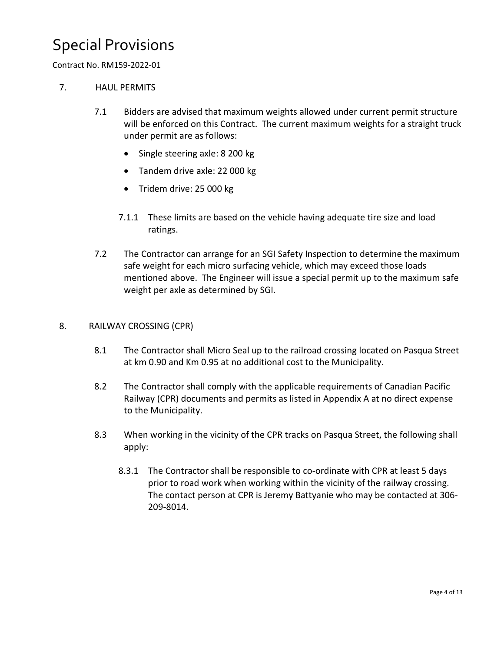### Contract No. RM159-2022-01

### 7. HAUL PERMITS

- 7.1 Bidders are advised that maximum weights allowed under current permit structure will be enforced on this Contract. The current maximum weights for a straight truck under permit are as follows:
	- Single steering axle: 8 200 kg
	- Tandem drive axle: 22 000 kg
	- Tridem drive: 25 000 kg
	- 7.1.1 These limits are based on the vehicle having adequate tire size and load ratings.
- 7.2 The Contractor can arrange for an SGI Safety Inspection to determine the maximum safe weight for each micro surfacing vehicle, which may exceed those loads mentioned above. The Engineer will issue a special permit up to the maximum safe weight per axle as determined by SGI.

### 8. RAILWAY CROSSING (CPR)

- 8.1 The Contractor shall Micro Seal up to the railroad crossing located on Pasqua Street at km 0.90 and Km 0.95 at no additional cost to the Municipality.
- 8.2 The Contractor shall comply with the applicable requirements of Canadian Pacific Railway (CPR) documents and permits as listed in Appendix A at no direct expense to the Municipality.
- 8.3 When working in the vicinity of the CPR tracks on Pasqua Street, the following shall apply:
	- 8.3.1 The Contractor shall be responsible to co-ordinate with CPR at least 5 days prior to road work when working within the vicinity of the railway crossing. The contact person at CPR is Jeremy Battyanie who may be contacted at 306- 209-8014.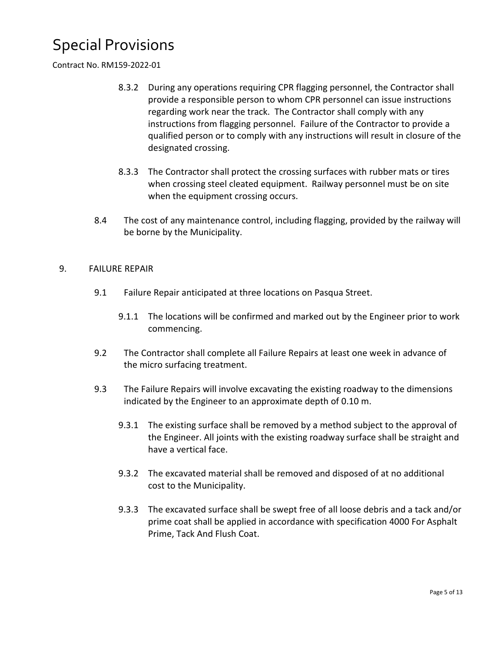Contract No. RM159-2022-01

- 8.3.2 During any operations requiring CPR flagging personnel, the Contractor shall provide a responsible person to whom CPR personnel can issue instructions regarding work near the track. The Contractor shall comply with any instructions from flagging personnel. Failure of the Contractor to provide a qualified person or to comply with any instructions will result in closure of the designated crossing.
- 8.3.3 The Contractor shall protect the crossing surfaces with rubber mats or tires when crossing steel cleated equipment. Railway personnel must be on site when the equipment crossing occurs.
- 8.4 The cost of any maintenance control, including flagging, provided by the railway will be borne by the Municipality.

### 9. FAILURE REPAIR

- 9.1 Failure Repair anticipated at three locations on Pasqua Street.
	- 9.1.1 The locations will be confirmed and marked out by the Engineer prior to work commencing.
- 9.2 The Contractor shall complete all Failure Repairs at least one week in advance of the micro surfacing treatment.
- 9.3 The Failure Repairs will involve excavating the existing roadway to the dimensions indicated by the Engineer to an approximate depth of 0.10 m.
	- 9.3.1 The existing surface shall be removed by a method subject to the approval of the Engineer. All joints with the existing roadway surface shall be straight and have a vertical face.
	- 9.3.2 The excavated material shall be removed and disposed of at no additional cost to the Municipality.
	- 9.3.3 The excavated surface shall be swept free of all loose debris and a tack and/or prime coat shall be applied in accordance with specification 4000 For Asphalt Prime, Tack And Flush Coat.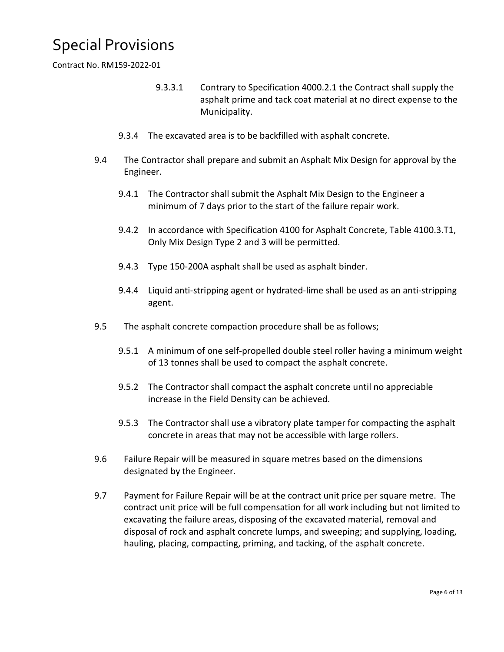Contract No. RM159-2022-01

- 9.3.3.1 Contrary to Specification 4000.2.1 the Contract shall supply the asphalt prime and tack coat material at no direct expense to the Municipality.
- 9.3.4 The excavated area is to be backfilled with asphalt concrete.
- 9.4 The Contractor shall prepare and submit an Asphalt Mix Design for approval by the Engineer.
	- 9.4.1 The Contractor shall submit the Asphalt Mix Design to the Engineer a minimum of 7 days prior to the start of the failure repair work.
	- 9.4.2 In accordance with Specification 4100 for Asphalt Concrete, Table 4100.3.T1, Only Mix Design Type 2 and 3 will be permitted.
	- 9.4.3 Type 150-200A asphalt shall be used as asphalt binder.
	- 9.4.4 Liquid anti-stripping agent or hydrated-lime shall be used as an anti-stripping agent.
- 9.5 The asphalt concrete compaction procedure shall be as follows;
	- 9.5.1 A minimum of one self-propelled double steel roller having a minimum weight of 13 tonnes shall be used to compact the asphalt concrete.
	- 9.5.2 The Contractor shall compact the asphalt concrete until no appreciable increase in the Field Density can be achieved.
	- 9.5.3 The Contractor shall use a vibratory plate tamper for compacting the asphalt concrete in areas that may not be accessible with large rollers.
- 9.6 Failure Repair will be measured in square metres based on the dimensions designated by the Engineer.
- 9.7 Payment for Failure Repair will be at the contract unit price per square metre. The contract unit price will be full compensation for all work including but not limited to excavating the failure areas, disposing of the excavated material, removal and disposal of rock and asphalt concrete lumps, and sweeping; and supplying, loading, hauling, placing, compacting, priming, and tacking, of the asphalt concrete.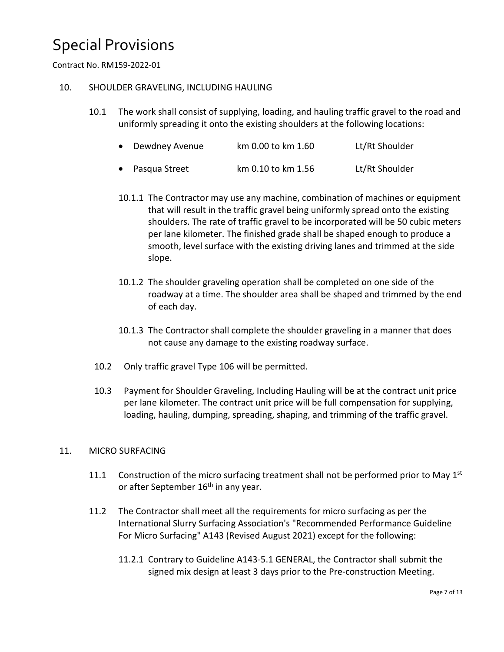Contract No. RM159-2022-01

### 10. SHOULDER GRAVELING, INCLUDING HAULING

10.1 The work shall consist of supplying, loading, and hauling traffic gravel to the road and uniformly spreading it onto the existing shoulders at the following locations:

| • Dewdney Avenue | km 0.00 to km 1.60 | Lt/Rt Shoulder |
|------------------|--------------------|----------------|
| • Pasqua Street  | km 0.10 to km 1.56 | Lt/Rt Shoulder |

- 10.1.1 The Contractor may use any machine, combination of machines or equipment that will result in the traffic gravel being uniformly spread onto the existing shoulders. The rate of traffic gravel to be incorporated will be 50 cubic meters per lane kilometer. The finished grade shall be shaped enough to produce a smooth, level surface with the existing driving lanes and trimmed at the side slope.
- 10.1.2 The shoulder graveling operation shall be completed on one side of the roadway at a time. The shoulder area shall be shaped and trimmed by the end of each day.
- 10.1.3 The Contractor shall complete the shoulder graveling in a manner that does not cause any damage to the existing roadway surface.
- 10.2 Only traffic gravel Type 106 will be permitted.
- 10.3 Payment for Shoulder Graveling, Including Hauling will be at the contract unit price per lane kilometer. The contract unit price will be full compensation for supplying, loading, hauling, dumping, spreading, shaping, and trimming of the traffic gravel.

### 11. MICRO SURFACING

- 11.1 Construction of the micro surfacing treatment shall not be performed prior to May  $1<sup>st</sup>$ or after September  $16<sup>th</sup>$  in any year.
- 11.2 The Contractor shall meet all the requirements for micro surfacing as per the International Slurry Surfacing Association's "Recommended Performance Guideline For Micro Surfacing" A143 (Revised August 2021) except for the following:
	- 11.2.1 Contrary to Guideline A143-5.1 GENERAL, the Contractor shall submit the signed mix design at least 3 days prior to the Pre-construction Meeting.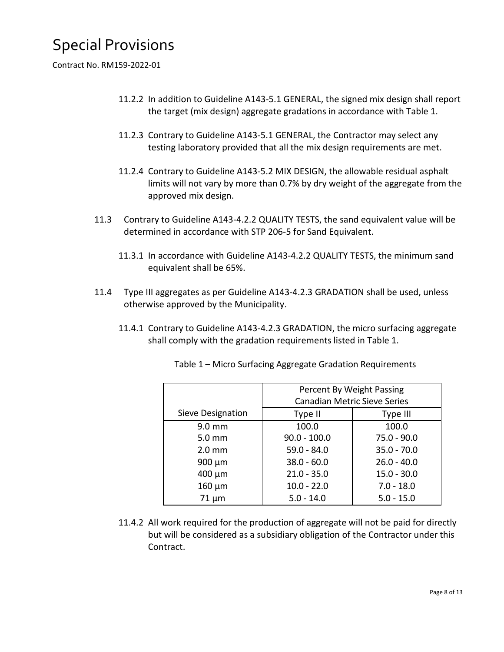Contract No. RM159-2022-01

- 11.2.2 In addition to Guideline A143-5.1 GENERAL, the signed mix design shall report the target (mix design) aggregate gradations in accordance with Table 1.
- 11.2.3 Contrary to Guideline A143-5.1 GENERAL, the Contractor may select any testing laboratory provided that all the mix design requirements are met.
- 11.2.4 Contrary to Guideline A143-5.2 MIX DESIGN, the allowable residual asphalt limits will not vary by more than 0.7% by dry weight of the aggregate from the approved mix design.
- 11.3 Contrary to Guideline A143-4.2.2 QUALITY TESTS, the sand equivalent value will be determined in accordance with STP 206-5 for Sand Equivalent.
	- 11.3.1 In accordance with Guideline A143-4.2.2 QUALITY TESTS, the minimum sand equivalent shall be 65%.
- 11.4 Type III aggregates as per Guideline A143-4.2.3 GRADATION shall be used, unless otherwise approved by the Municipality.
	- 11.4.1 Contrary to Guideline A143-4.2.3 GRADATION, the micro surfacing aggregate shall comply with the gradation requirements listed in Table 1.

|                   | Percent By Weight Passing           |               |  |
|-------------------|-------------------------------------|---------------|--|
|                   | <b>Canadian Metric Sieve Series</b> |               |  |
| Sieve Designation | Type II                             | Type III      |  |
| $9.0 \text{ mm}$  | 100.0                               | 100.0         |  |
| 5.0 mm            | $90.0 - 100.0$                      | $75.0 - 90.0$ |  |
| $2.0$ mm          | $59.0 - 84.0$                       | $35.0 - 70.0$ |  |
| $900 \mu m$       | $38.0 - 60.0$                       | $26.0 - 40.0$ |  |
| 400 µm            | $21.0 - 35.0$                       | $15.0 - 30.0$ |  |
| $160 \mu m$       | $10.0 - 22.0$                       | $7.0 - 18.0$  |  |
| $71 \mu m$        | $5.0 - 14.0$                        | $5.0 - 15.0$  |  |

Table 1 – Micro Surfacing Aggregate Gradation Requirements

11.4.2 All work required for the production of aggregate will not be paid for directly but will be considered as a subsidiary obligation of the Contractor under this Contract.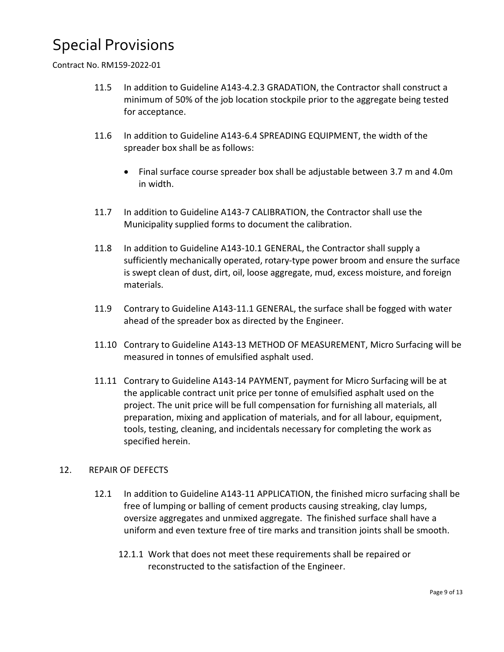Contract No. RM159-2022-01

- 11.5 In addition to Guideline A143-4.2.3 GRADATION, the Contractor shall construct a minimum of 50% of the job location stockpile prior to the aggregate being tested for acceptance.
- 11.6 In addition to Guideline A143-6.4 SPREADING EQUIPMENT, the width of the spreader box shall be as follows:
	- Final surface course spreader box shall be adjustable between 3.7 m and 4.0m in width.
- 11.7 In addition to Guideline A143-7 CALIBRATION, the Contractor shall use the Municipality supplied forms to document the calibration.
- 11.8 In addition to Guideline A143-10.1 GENERAL, the Contractor shall supply a sufficiently mechanically operated, rotary-type power broom and ensure the surface is swept clean of dust, dirt, oil, loose aggregate, mud, excess moisture, and foreign materials.
- 11.9 Contrary to Guideline A143-11.1 GENERAL, the surface shall be fogged with water ahead of the spreader box as directed by the Engineer.
- 11.10 Contrary to Guideline A143-13 METHOD OF MEASUREMENT, Micro Surfacing will be measured in tonnes of emulsified asphalt used.
- 11.11 Contrary to Guideline A143-14 PAYMENT, payment for Micro Surfacing will be at the applicable contract unit price per tonne of emulsified asphalt used on the project. The unit price will be full compensation for furnishing all materials, all preparation, mixing and application of materials, and for all labour, equipment, tools, testing, cleaning, and incidentals necessary for completing the work as specified herein.

### 12. REPAIR OF DEFECTS

- 12.1 In addition to Guideline A143-11 APPLICATION, the finished micro surfacing shall be free of lumping or balling of cement products causing streaking, clay lumps, oversize aggregates and unmixed aggregate. The finished surface shall have a uniform and even texture free of tire marks and transition joints shall be smooth.
	- 12.1.1 Work that does not meet these requirements shall be repaired or reconstructed to the satisfaction of the Engineer.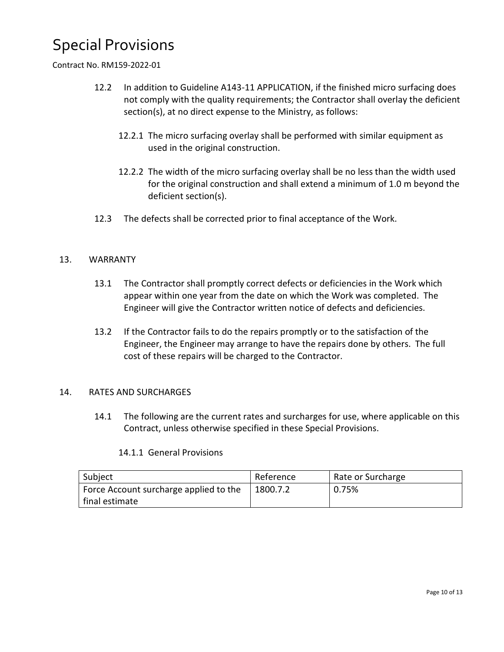#### Contract No. RM159-2022-01

- 12.2 In addition to Guideline A143-11 APPLICATION, if the finished micro surfacing does not comply with the quality requirements; the Contractor shall overlay the deficient section(s), at no direct expense to the Ministry, as follows:
	- 12.2.1 The micro surfacing overlay shall be performed with similar equipment as used in the original construction.
	- 12.2.2 The width of the micro surfacing overlay shall be no less than the width used for the original construction and shall extend a minimum of 1.0 m beyond the deficient section(s).
- 12.3 The defects shall be corrected prior to final acceptance of the Work.

#### 13. WARRANTY

- 13.1 The Contractor shall promptly correct defects or deficiencies in the Work which appear within one year from the date on which the Work was completed. The Engineer will give the Contractor written notice of defects and deficiencies.
- 13.2 If the Contractor fails to do the repairs promptly or to the satisfaction of the Engineer, the Engineer may arrange to have the repairs done by others. The full cost of these repairs will be charged to the Contractor.

#### 14. RATES AND SURCHARGES

14.1 The following are the current rates and surcharges for use, where applicable on this Contract, unless otherwise specified in these Special Provisions.

#### 14.1.1 General Provisions

| Subject                                | Reference | Rate or Surcharge |
|----------------------------------------|-----------|-------------------|
| Force Account surcharge applied to the | 1800.7.2  | 0.75%             |
| final estimate                         |           |                   |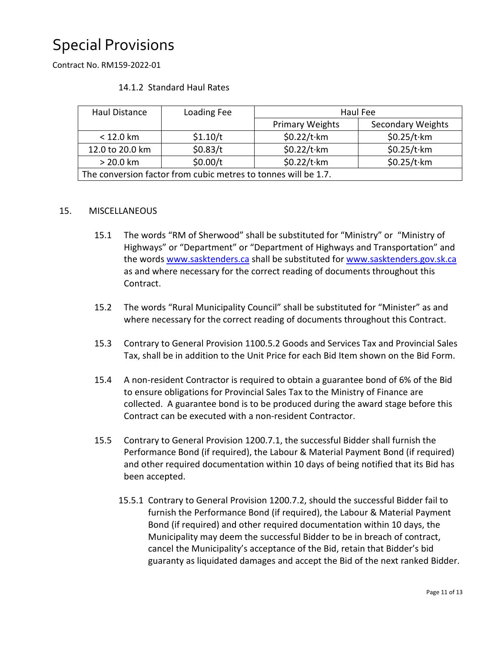Contract No. RM159-2022-01

|  | 14.1.2 Standard Haul Rates |
|--|----------------------------|
|--|----------------------------|

| Haul Distance                                                  | Loading Fee | Haul Fee               |                          |  |  |
|----------------------------------------------------------------|-------------|------------------------|--------------------------|--|--|
|                                                                |             | <b>Primary Weights</b> | <b>Secondary Weights</b> |  |  |
| $< 12.0$ km                                                    | \$1.10/t    | $$0.22/t$ ·km          | $$0.25/t$ ·km            |  |  |
| 12.0 to 20.0 km                                                | \$0.83/t    | $$0.22/t$ ·km          | $$0.25/t$ ·km            |  |  |
| $> 20.0$ km                                                    | \$0.00/t    | $$0.22/t$ ·km          | $$0.25/t$ ·km            |  |  |
| The conversion factor from cubic metres to tonnes will be 1.7. |             |                        |                          |  |  |

### 15. MISCELLANEOUS

- 15.1 The words "RM of Sherwood" shall be substituted for "Ministry" or "Ministry of Highways" or "Department" or "Department of Highways and Transportation" and the words www.sasktenders.ca shall be substituted for www.sasktenders.gov.sk.ca as and where necessary for the correct reading of documents throughout this Contract.
- 15.2 The words "Rural Municipality Council" shall be substituted for "Minister" as and where necessary for the correct reading of documents throughout this Contract.
- 15.3 Contrary to General Provision 1100.5.2 Goods and Services Tax and Provincial Sales Tax, shall be in addition to the Unit Price for each Bid Item shown on the Bid Form.
- 15.4 A non-resident Contractor is required to obtain a guarantee bond of 6% of the Bid to ensure obligations for Provincial Sales Tax to the Ministry of Finance are collected. A guarantee bond is to be produced during the award stage before this Contract can be executed with a non-resident Contractor.
- 15.5 Contrary to General Provision 1200.7.1, the successful Bidder shall furnish the Performance Bond (if required), the Labour & Material Payment Bond (if required) and other required documentation within 10 days of being notified that its Bid has been accepted.
	- 15.5.1 Contrary to General Provision 1200.7.2, should the successful Bidder fail to furnish the Performance Bond (if required), the Labour & Material Payment Bond (if required) and other required documentation within 10 days, the Municipality may deem the successful Bidder to be in breach of contract, cancel the Municipality's acceptance of the Bid, retain that Bidder's bid guaranty as liquidated damages and accept the Bid of the next ranked Bidder.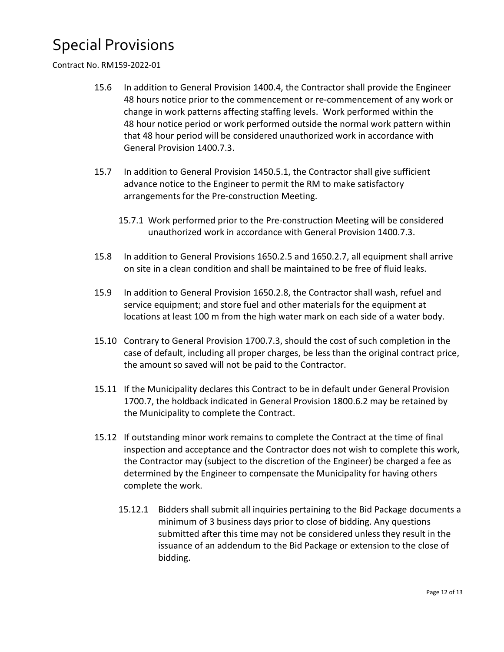#### Contract No. RM159-2022-01

- 15.6 In addition to General Provision 1400.4, the Contractor shall provide the Engineer 48 hours notice prior to the commencement or re-commencement of any work or change in work patterns affecting staffing levels. Work performed within the 48 hour notice period or work performed outside the normal work pattern within that 48 hour period will be considered unauthorized work in accordance with General Provision 1400.7.3.
- 15.7 In addition to General Provision 1450.5.1, the Contractor shall give sufficient advance notice to the Engineer to permit the RM to make satisfactory arrangements for the Pre-construction Meeting.
	- 15.7.1 Work performed prior to the Pre-construction Meeting will be considered unauthorized work in accordance with General Provision 1400.7.3.
- 15.8 In addition to General Provisions 1650.2.5 and 1650.2.7, all equipment shall arrive on site in a clean condition and shall be maintained to be free of fluid leaks.
- 15.9 In addition to General Provision 1650.2.8, the Contractor shall wash, refuel and service equipment; and store fuel and other materials for the equipment at locations at least 100 m from the high water mark on each side of a water body.
- 15.10 Contrary to General Provision 1700.7.3, should the cost of such completion in the case of default, including all proper charges, be less than the original contract price, the amount so saved will not be paid to the Contractor.
- 15.11 If the Municipality declares this Contract to be in default under General Provision 1700.7, the holdback indicated in General Provision 1800.6.2 may be retained by the Municipality to complete the Contract.
- 15.12 If outstanding minor work remains to complete the Contract at the time of final inspection and acceptance and the Contractor does not wish to complete this work, the Contractor may (subject to the discretion of the Engineer) be charged a fee as determined by the Engineer to compensate the Municipality for having others complete the work.
	- 15.12.1 Bidders shall submit all inquiries pertaining to the Bid Package documents a minimum of 3 business days prior to close of bidding. Any questions submitted after this time may not be considered unless they result in the issuance of an addendum to the Bid Package or extension to the close of bidding.